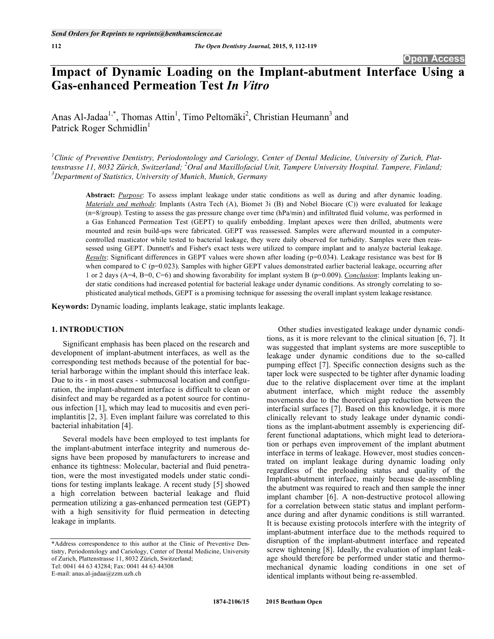# **Impact of Dynamic Loading on the Implant-abutment Interface Using a Gas-enhanced Permeation Test** *In Vitro*

Anas Al-Jadaa<sup>1,\*</sup>, Thomas Attin<sup>1</sup>, Timo Peltomäki<sup>2</sup>, Christian Heumann<sup>3</sup> and Patrick Roger Schmidlin<sup>1</sup>

*<sup>1</sup>Clinic of Preventive Dentistry, Periodontology and Cariology, Center of Dental Medicine, University of Zurich, Plattenstrasse 11, 8032 Zürich, Switzerland; <sup>2</sup>Oral and Maxillofacial Unit, Tampere University Hospital. Tampere, Finland; <sup>3</sup>Department of Statistics, University of Munich, Munich, Germany*

**Abstract:** *Purpose*: To assess implant leakage under static conditions as well as during and after dynamic loading. *Materials and methods*: Implants (Astra Tech (A), Biomet 3i (B) and Nobel Biocare (C)) were evaluated for leakage  $(n=8/\text{group})$ . Testing to assess the gas pressure change over time  $(hPa/min)$  and infiltrated fluid volume, was performed in a Gas Enhanced Permeation Test (GEPT) to qualify embedding. Implant apexes were then drilled, abutments were mounted and resin build-ups were fabricated. GEPT was reassessed. Samples were afterward mounted in a computercontrolled masticator while tested to bacterial leakage, they were daily observed for turbidity. Samples were then reassessed using GEPT. Dunnett's and Fisher's exact tests were utilized to compare implant and to analyze bacterial leakage. *Results*: Significant differences in GEPT values were shown after loading (p=0.034). Leakage resistance was best for B when compared to  $C$  (p=0.023). Samples with higher GEPT values demonstrated earlier bacterial leakage, occurring after 1 or 2 days (A=4, B=0, C=6) and showing favorability for implant system B (p=0.009). *Conclusion*: Implants leaking under static conditions had increased potential for bacterial leakage under dynamic conditions. As strongly correlating to sophisticated analytical methods, GEPT is a promising technique for assessing the overall implant system leakage resistance.

**Keywords:** Dynamic loading, implants leakage, static implants leakage.

### **1. INTRODUCTION**

Significant emphasis has been placed on the research and development of implant-abutment interfaces, as well as the corresponding test methods because of the potential for bacterial harborage within the implant should this interface leak. Due to its - in most cases - submucosal location and configuration, the implant-abutment interface is difficult to clean or disinfect and may be regarded as a potent source for continuous infection [1], which may lead to mucositis and even periimplantitis [2, 3]. Even implant failure was correlated to this bacterial inhabitation [4].

Several models have been employed to test implants for the implant-abutment interface integrity and numerous designs have been proposed by manufacturers to increase and enhance its tightness: Molecular, bacterial and fluid penetration, were the most investigated models under static conditions for testing implants leakage. A recent study [5] showed a high correlation between bacterial leakage and fluid permeation utilizing a gas-enhanced permeation test (GEPT) with a high sensitivity for fluid permeation in detecting leakage in implants.

E-mail: anas.al-jadaa@zzm.uzh.ch

Other studies investigated leakage under dynamic conditions, as it is more relevant to the clinical situation [6, 7]. It was suggested that implant systems are more susceptible to leakage under dynamic conditions due to the so-called pumping effect [7]. Specific connection designs such as the taper lock were suspected to be tighter after dynamic loading due to the relative displacement over time at the implant abutment interface, which might reduce the assembly movements due to the theoretical gap reduction between the interfacial surfaces [7]. Based on this knowledge, it is more clinically relevant to study leakage under dynamic conditions as the implant-abutment assembly is experiencing different functional adaptations, which might lead to deterioration or perhaps even improvement of the implant abutment interface in terms of leakage. However, most studies concentrated on implant leakage during dynamic loading only regardless of the preloading status and quality of the Implant-abutment interface, mainly because de-assembling the abutment was required to reach and then sample the inner implant chamber [6]. A non-destructive protocol allowing for a correlation between static status and implant performance during and after dynamic conditions is still warranted. It is because existing protocols interfere with the integrity of implant-abutment interface due to the methods required to disruption of the implant-abutment interface and repeated screw tightening [8]. Ideally, the evaluation of implant leakage should therefore be performed under static and thermomechanical dynamic loading conditions in one set of identical implants without being re-assembled.

<sup>\*</sup>Address correspondence to this author at the Clinic of Preventive Dentistry, Periodontology and Cariology, Center of Dental Medicine, University of Zurich, Plattenstrasse 11, 8032 Zürich, Switzerland; Tel: 0041 44 63 43284; Fax: 0041 44 63 44308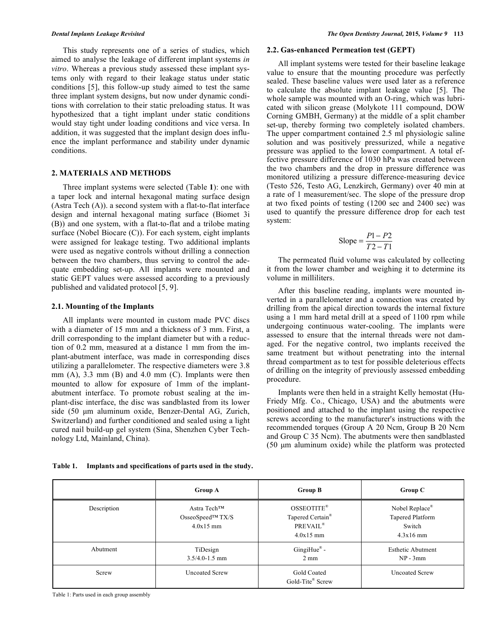This study represents one of a series of studies, which aimed to analyse the leakage of different implant systems *in vitro*. Whereas a previous study assessed these implant systems only with regard to their leakage status under static conditions [5], this follow-up study aimed to test the same three implant system designs, but now under dynamic conditions with correlation to their static preloading status. It was hypothesized that a tight implant under static conditions would stay tight under loading conditions and vice versa. In addition, it was suggested that the implant design does influence the implant performance and stability under dynamic conditions.

# **2. MATERIALS AND METHODS**

Three implant systems were selected (Table **1**): one with a taper lock and internal hexagonal mating surface design (Astra Tech (A)). a second system with a flat-to-flat interface design and internal hexagonal mating surface (Biomet 3i (B)) and one system, with a flat-to-flat and a trilobe mating surface (Nobel Biocare (C)). For each system, eight implants were assigned for leakage testing. Two additional implants were used as negative controls without drilling a connection between the two chambers, thus serving to control the adequate embedding set-up. All implants were mounted and static GEPT values were assessed according to a previously published and validated protocol [5, 9].

#### **2.1. Mounting of the Implants**

All implants were mounted in custom made PVC discs with a diameter of 15 mm and a thickness of 3 mm. First, a drill corresponding to the implant diameter but with a reduction of 0.2 mm, measured at a distance 1 mm from the implant-abutment interface, was made in corresponding discs utilizing a parallelometer. The respective diameters were 3.8 mm  $(A)$ , 3.3 mm  $(B)$  and 4.0 mm  $(C)$ . Implants were then mounted to allow for exposure of 1mm of the implantabutment interface. To promote robust sealing at the implant-disc interface, the disc was sandblasted from its lower side (50 μm aluminum oxide, Benzer-Dental AG, Zurich, Switzerland) and further conditioned and sealed using a light cured nail build-up gel system (Sina, Shenzhen Cyber Technology Ltd, Mainland, China).

#### **2.2. Gas-enhanced Permeation test (GEPT)**

All implant systems were tested for their baseline leakage value to ensure that the mounting procedure was perfectly sealed. These baseline values were used later as a reference to calculate the absolute implant leakage value [5]. The whole sample was mounted with an O-ring, which was lubricated with silicon grease (Molykote 111 compound, DOW Corning GMBH, Germany) at the middle of a split chamber set-up, thereby forming two completely isolated chambers. The upper compartment contained 2.5 ml physiologic saline solution and was positively pressurized, while a negative pressure was applied to the lower compartment. A total effective pressure difference of 1030 hPa was created between the two chambers and the drop in pressure difference was monitored utilizing a pressure difference-measuring device (Testo 526, Testo AG, Lenzkirch, Germany) over 40 min at a rate of 1 measurement/sec. The slope of the pressure drop at two fixed points of testing (1200 sec and 2400 sec) was used to quantify the pressure difference drop for each test system:

$$
Slope = \frac{P1 - P2}{T2 - T1}
$$

The permeated fluid volume was calculated by collecting it from the lower chamber and weighing it to determine its volume in milliliters.

After this baseline reading, implants were mounted inverted in a parallelometer and a connection was created by drilling from the apical direction towards the internal fixture using a 1 mm hard metal drill at a speed of 1100 rpm while undergoing continuous water-cooling. The implants were assessed to ensure that the internal threads were not damaged. For the negative control, two implants received the same treatment but without penetrating into the internal thread compartment as to test for possible deleterious effects of drilling on the integrity of previously assessed embedding procedure.

Implants were then held in a straight Kelly hemostat (Hu-Friedy Mfg. Co., Chicago, USA) and the abutments were positioned and attached to the implant using the respective screws according to the manufacturer's instructions with the recommended torques (Group A 20 Ncm, Group B 20 Ncm and Group C 35 Ncm). The abutments were then sandblasted (50 μm aluminum oxide) while the platform was protected

|             | <b>Group A</b>                                     | <b>Group B</b>                                                                    | Group C                                                                 |
|-------------|----------------------------------------------------|-----------------------------------------------------------------------------------|-------------------------------------------------------------------------|
| Description | Astra Tech™<br>OsseoSpeed $TM$ TX/S<br>$4.0x15$ mm | OSSEOTITE®<br>Tapered Certain <sup>®</sup><br>PREVAIL <sup>®</sup><br>$4.0x15$ mm | Nobel Replace <sup>®</sup><br>Tapered Platform<br>Switch<br>$4.3x16$ mm |
| Abutment    | TiDesign<br>$3.5/4.0 - 1.5$ mm                     | GingiHue $^{\circ}$ -<br>$2 \text{ mm}$                                           | <b>Esthetic Abutment</b><br>$NP - 3mm$                                  |
| Screw       | <b>Uncoated Screw</b>                              | Gold Coated<br>Gold-Tite <sup>®</sup> Screw                                       | <b>Uncoated Screw</b>                                                   |

**Table 1. Implants and specifications of parts used in the study.** 

Table 1: Parts used in each group assembly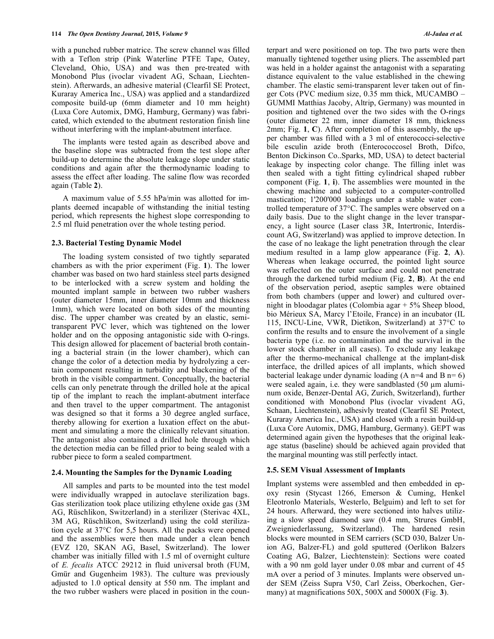with a punched rubber matrice. The screw channel was filled with a Teflon strip (Pink Waterline PTFE Tape, Oatey, Cleveland, Ohio, USA) and was then pre-treated with Monobond Plus (ivoclar vivadent AG, Schaan, Liechtenstein). Afterwards, an adhesive material (Clearfil SE Protect, Kuraray America Inc., USA) was applied and a standardized composite build-up (6mm diameter and 10 mm height) (Luxa Core Automix, DMG, Hamburg, Germany) was fabricated, which extended to the abutment restoration finish line without interfering with the implant-abutment interface.

The implants were tested again as described above and the baseline slope was subtracted from the test slope after build-up to determine the absolute leakage slope under static conditions and again after the thermodynamic loading to assess the effect after loading. The saline flow was recorded again (Table **2**).

A maximum value of 5.55 hPa/min was allotted for implants deemed incapable of withstanding the initial testing period, which represents the highest slope corresponding to 2.5 ml fluid penetration over the whole testing period.

## **2.3. Bacterial Testing Dynamic Model**

The loading system consisted of two tightly separated chambers as with the prior experiment (Fig. **1**). The lower chamber was based on two hard stainless steel parts designed to be interlocked with a screw system and holding the mounted implant sample in between two rubber washers (outer diameter 15mm, inner diameter 10mm and thickness 1mm), which were located on both sides of the mounting disc. The upper chamber was created by an elastic, semitransparent PVC lever, which was tightened on the lower holder and on the opposing antagonistic side with O-rings. This design allowed for placement of bacterial broth containing a bacterial strain (in the lower chamber), which can change the color of a detection media by hydrolyzing a certain component resulting in turbidity and blackening of the broth in the visible compartment. Conceptually, the bacterial cells can only penetrate through the drilled hole at the apical tip of the implant to reach the implant-abutment interface and then travel to the upper compartment. The antagonist was designed so that it forms a 30 degree angled surface, thereby allowing for exertion a luxation effect on the abutment and simulating a more the clinically relevant situation. The antagonist also contained a drilled hole through which the detection media can be filled prior to being sealed with a rubber piece to form a sealed compartment.

#### **2.4. Mounting the Samples for the Dynamic Loading**

All samples and parts to be mounted into the test model were individually wrapped in autoclave sterilization bags. Gas sterilization took place utilizing ethylene oxide gas (3M AG, Rüschlikon, Switzerland) in a sterilizer (Sterivac 4XL, 3M AG, Rüschlikon, Switzerland) using the cold sterilization cycle at 37°C for 5,5 hours. All the packs were opened and the assemblies were then made under a clean bench (EVZ 120, SKAN AG, Basel, Switzerland). The lower chamber was initially filled with 1.5 ml of overnight culture of *E. fecalis* ATCC 29212 in fluid universal broth (FUM, Gmür and Gugenheim 1983). The culture was previously adjusted to 1.0 optical density at 550 nm. The implant and the two rubber washers were placed in position in the counterpart and were positioned on top. The two parts were then manually tightened together using pliers. The assembled part was held in a holder against the antagonist with a separating distance equivalent to the value established in the chewing chamber. The elastic semi-transparent lever taken out of finger Cots (PVC medium size, 0.35 mm thick, MUCAMBO – GUMMI Matthias Jacoby, Altrip, Germany) was mounted in position and tightened over the two sides with the O-rings (outer diameter 22 mm, inner diameter 18 mm, thickness 2mm; Fig. **1**, **C**). After completion of this assembly, the upper chamber was filled with a 3 ml of enterococci-selective bile esculin azide broth (Enterococcosel Broth, Difco, Benton Dickinson Co..Sparks, MD, USA) to detect bacterial leakage by inspecting color change. The filling inlet was then sealed with a tight fitting cylindrical shaped rubber component (Fig. **1**, **i**). The assemblies were mounted in the chewing machine and subjected to a computer-controlled mastication; 1'200'000 loadings under a stable water controlled temperature of 37°C. The samples were observed on a daily basis. Due to the slight change in the lever transparency, a light source (Laser class 3R, Intertronic, Interdiscount AG, Switzerland) was applied to improve detection. In the case of no leakage the light penetration through the clear medium resulted in a lamp glow appearance (Fig. **2**, **A**). Whereas when leakage occurred, the pointed light source was reflected on the outer surface and could not penetrate through the darkened turbid medium (Fig. **2**, **B**). At the end of the observation period, aseptic samples were obtained from both chambers (upper and lower) and cultured overnight in bloodagar plates (Colombia agar + 5% Sheep blood, bio Mérieux SA, Marcy l'Etoile, France) in an incubator (IL 115, INCU-Line, VWR, Dietikon, Switzerland) at 37°C to confirm the results and to ensure the involvement of a single bacteria type (i.e. no contamination and the survival in the lower stock chamber in all cases). To exclude any leakage after the thermo-mechanical challenge at the implant-disk interface, the drilled apices of all implants, which showed bacterial leakage under dynamic loading (A n=4 and B n= 6) were sealed again, i.e. they were sandblasted (50 μm aluminum oxide, Benzer-Dental AG, Zurich, Switzerland), further conditioned with Monobond Plus (ivoclar vivadent AG, Schaan, Liechtenstein), adhesivly treated (Clearfil SE Protect, Kuraray America Inc., USA) and closed with a resin build-up (Luxa Core Automix, DMG, Hamburg, Germany). GEPT was determined again given the hypotheses that the original leakage status (baseline) should be achieved again provided that the marginal mounting was still perfectly intact.

#### **2.5. SEM Visual Assessment of Implants**

Implant systems were assembled and then embedded in epoxy resin (Stycast 1266, Emerson & Cuming, Henkel Eleotronlo Materials, Westerlo, Belguim) and left to set for 24 hours. Afterward, they were sectioned into halves utilizing a slow speed diamond saw (0.4 mm, Strures GmbH, Zweigniederlassung, Switzerland). The hardened resin blocks were mounted in SEM carriers (SCD 030, Balzer Union AG, Balzer-FL) and gold sputtered (Oerlikon Balzers Coating AG, Balzer, Liechtenstein): Sections were coated with a 90 nm gold layer under 0.08 mbar and current of 45 mA over a period of 3 minutes. Implants were observed under SEM (Zeiss Supra V50, Carl Zeiss, Oberkochen, Germany) at magnifications 50X, 500X and 5000X (Fig. **3**).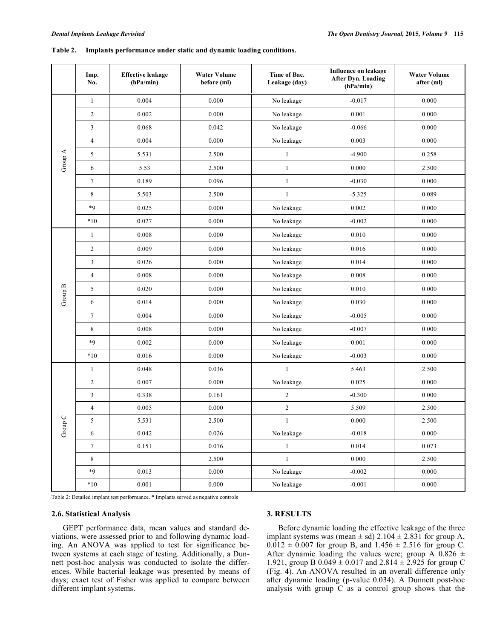| <b>Table 2.</b> |  |  | Implants performance under static and dynamic loading conditions. |
|-----------------|--|--|-------------------------------------------------------------------|
|                 |  |  |                                                                   |

|                | Imp.<br>No.             | <b>Effective leakage</b><br>(hPa/min) | <b>Water Volume</b><br>before (ml) | Time of Bac.<br>Leakage (day) | <b>Influence on leakage</b><br><b>After Dyn. Loading</b><br>(hPa/min) | <b>Water Volume</b><br>after (ml) |
|----------------|-------------------------|---------------------------------------|------------------------------------|-------------------------------|-----------------------------------------------------------------------|-----------------------------------|
| Group A        | $\mathbf{1}$            | 0.004                                 | 0.000                              | No leakage                    | $-0.017$                                                              | 0.000                             |
|                | $\overline{\mathbf{c}}$ | 0.002                                 | 0.000                              | No leakage                    | 0.001                                                                 | 0.000                             |
|                | 3                       | 0.068                                 | 0.042                              | No leakage                    | $-0.066$                                                              | 0.000                             |
|                | $\overline{4}$          | 0.004                                 | 0.000                              | No leakage                    | 0.003                                                                 | 0.000                             |
|                | 5                       | 5.531                                 | 2.500                              | $\mathbf{1}$                  | $-4.900$                                                              | 0.258                             |
|                | 6                       | 5.53                                  | 2.500                              | $\mathbf{1}$                  | 0.000                                                                 | 2.500                             |
|                | $\boldsymbol{7}$        | 0.189                                 | 0.096                              | $\mathbf{1}$                  | $-0.030$                                                              | 0.000                             |
|                | 8                       | 5.503                                 | 2.500                              | $\mathbf{1}$                  | $-5.325$                                                              | 0.089                             |
|                | $*9$                    | 0.025                                 | 0.000                              | No leakage                    | 0.002                                                                 | 0.000                             |
|                | $*10$                   | 0.027                                 | 0.000                              | No leakage                    | $-0.002$                                                              | 0.000                             |
|                | $\mathbf{1}$            | 0.008                                 | 0.000                              | No leakage                    | 0.010                                                                 | 0.000                             |
| Group B        | $\overline{c}$          | 0.009                                 | 0.000                              | No leakage                    | 0.016                                                                 | 0.000                             |
|                | 3                       | 0.026                                 | 0.000                              | No leakage                    | 0.014                                                                 | 0.000                             |
|                | $\overline{4}$          | 0.008                                 | 0.000                              | No leakage                    | 0.008                                                                 | 0.000                             |
|                | 5                       | 0.020                                 | 0.000                              | No leakage                    | 0.010                                                                 | 0.000                             |
|                | 6                       | 0.014                                 | 0.000                              | No leakage                    | 0.030                                                                 | 0.000                             |
|                | $\tau$                  | 0.004                                 | 0.000                              | No leakage                    | $-0.005$                                                              | 0.000                             |
|                | 8                       | 0.008                                 | 0.000                              | No leakage                    | $-0.007$                                                              | 0.000                             |
|                | $*9$                    | 0.002                                 | 0.000                              | No leakage                    | 0.001                                                                 | 0.000                             |
|                | $*10$                   | 0.016                                 | 0.000                              | No leakage                    | $-0.003$                                                              | 0.000                             |
| O<br>ج<br>Grou | 1                       | 0.048                                 | 0.036                              | $\mathbf{1}$                  | 5.463                                                                 | 2.500                             |
|                | $\overline{c}$          | 0.007                                 | 0.000                              | No leakage                    | 0.025                                                                 | 0.000                             |
|                | 3                       | 0.338                                 | 0.161                              | $\sqrt{2}$                    | $-0.300$                                                              | 0.000                             |
|                | $\overline{4}$          | 0.005                                 | 0.000                              | $\sqrt{2}$                    | 5.509                                                                 | 2.500                             |
|                | 5                       | 5.531                                 | 2.500                              | $\mathbf{1}$                  | 0.000                                                                 | 2.500                             |
|                | 6                       | 0.042                                 | 0.026                              | No leakage                    | $-0.018$                                                              | 0.000                             |
|                | $\tau$                  | 0.151                                 | 0.076                              | $\,1\,$                       | 0.014                                                                 | 0.073                             |
|                | 8                       |                                       | 2.500                              | $\,1\,$                       | 0.000                                                                 | 2.500                             |
|                | $*9$                    | 0.013                                 | 0.000                              | No leakage                    | $-0.002$                                                              | 0.000                             |
|                | $\boldsymbol{*}10$      | $0.001\,$                             | 0.000                              | No leakage                    | $-0.001$                                                              | 0.000                             |

Table 2: Detailed implant test performance. \* Implants served as negative controls

#### **2.6. Statistical Analysis**

GEPT performance data, mean values and standard deviations, were assessed prior to and following dynamic loading. An ANOVA was applied to test for significance between systems at each stage of testing. Additionally, a Dunnett post-hoc analysis was conducted to isolate the differences. While bacterial leakage was presented by means of days; exact test of Fisher was applied to compare between different implant systems.

#### **3. RESULTS**

Before dynamic loading the effective leakage of the three implant systems was (mean  $\pm$  sd) 2.104  $\pm$  2.831 for group A,  $0.012 \pm 0.007$  for group B, and  $1.456 \pm 2.516$  for group C. After dynamic loading the values were; group A  $0.826 \pm$ 1.921, group B 0.049 ± 0.017 and 2.814 ± 2.925 for group C (Fig. **4**). An ANOVA resulted in an overall difference only after dynamic loading (p-value 0.034). A Dunnett post-hoc analysis with group C as a control group shows that the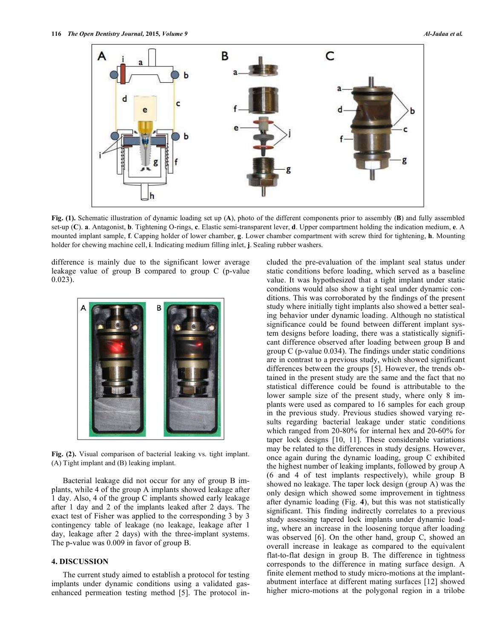

**Fig. (1).** Schematic illustration of dynamic loading set up (**A**), photo of the different components prior to assembly (**B**) and fully assembled set-up (**C**). **a**. Antagonist, **b**. Tightening O-rings, **c**. Elastic semi-transparent lever, **d**. Upper compartment holding the indication medium, **e**. A mounted implant sample, **f**. Capping holder of lower chamber, **g**. Lower chamber compartment with screw third for tightening, **h**. Mounting holder for chewing machine cell, **i**. Indicating medium filling inlet, **j**. Sealing rubber washers.

difference is mainly due to the significant lower average leakage value of group B compared to group C (p-value 0.023).



**Fig. (2).** Visual comparison of bacterial leaking vs. tight implant. (A) Tight implant and (B) leaking implant.

Bacterial leakage did not occur for any of group B implants, while 4 of the group A implants showed leakage after 1 day. Also, 4 of the group C implants showed early leakage after 1 day and 2 of the implants leaked after 2 days. The exact test of Fisher was applied to the corresponding 3 by 3 contingency table of leakage (no leakage, leakage after 1 day, leakage after 2 days) with the three-implant systems. The p-value was 0.009 in favor of group B.

# **4. DISCUSSION**

The current study aimed to establish a protocol for testing implants under dynamic conditions using a validated gasenhanced permeation testing method [5]. The protocol included the pre-evaluation of the implant seal status under static conditions before loading, which served as a baseline value. It was hypothesized that a tight implant under static conditions would also show a tight seal under dynamic conditions. This was corroborated by the findings of the present study where initially tight implants also showed a better sealing behavior under dynamic loading. Although no statistical significance could be found between different implant system designs before loading, there was a statistically significant difference observed after loading between group B and group C (p-value 0.034). The findings under static conditions are in contrast to a previous study, which showed significant differences between the groups [5]. However, the trends obtained in the present study are the same and the fact that no statistical difference could be found is attributable to the lower sample size of the present study, where only 8 implants were used as compared to 16 samples for each group in the previous study. Previous studies showed varying results regarding bacterial leakage under static conditions which ranged from 20-80% for internal hex and 20-60% for taper lock designs [10, 11]. These considerable variations may be related to the differences in study designs. However, once again during the dynamic loading, group C exhibited the highest number of leaking implants, followed by group A (6 and 4 of test implants respectively), while group B showed no leakage. The taper lock design (group A) was the only design which showed some improvement in tightness after dynamic loading (Fig. **4**), but this was not statistically significant. This finding indirectly correlates to a previous study assessing tapered lock implants under dynamic loading, where an increase in the loosening torque after loading was observed [6]. On the other hand, group C, showed an overall increase in leakage as compared to the equivalent flat-to-flat design in group B. The difference in tightness corresponds to the difference in mating surface design. A finite element method to study micro-motions at the implantabutment interface at different mating surfaces [12] showed higher micro-motions at the polygonal region in a trilobe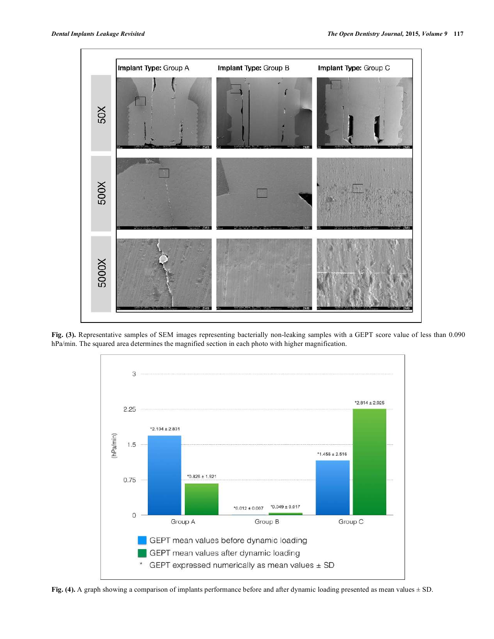

**Fig. (3).** Representative samples of SEM images representing bacterially non-leaking samples with a GEPT score value of less than 0.090 hPa/min. The squared area determines the magnified section in each photo with higher magnification.



**Fig. (4).** A graph showing a comparison of implants performance before and after dynamic loading presented as mean values ± SD.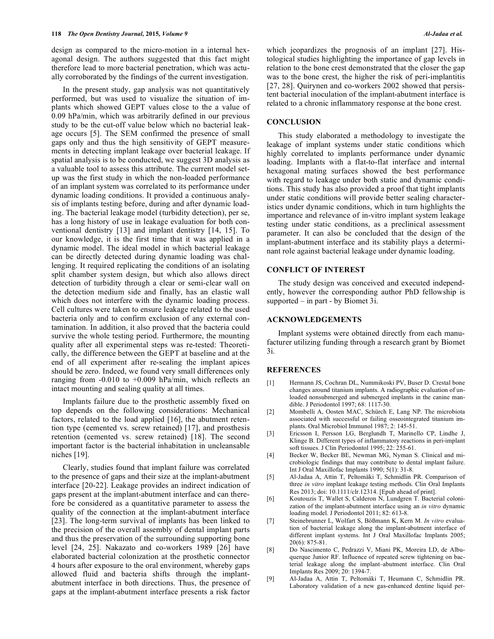design as compared to the micro-motion in a internal hexagonal design. The authors suggested that this fact might therefore lead to more bacterial penetration, which was actually corroborated by the findings of the current investigation.

In the present study, gap analysis was not quantitatively performed, but was used to visualize the situation of implants which showed GEPT values close to the a value of 0.09 hPa/min, which was arbitrarily defined in our previous study to be the cut-off value below which no bacterial leakage occurs [5]. The SEM confirmed the presence of small gaps only and thus the high sensitivity of GEPT measurements in detecting implant leakage over bacterial leakage. If spatial analysis is to be conducted, we suggest 3D analysis as a valuable tool to assess this attribute. The current model setup was the first study in which the non-loaded performance of an implant system was correlated to its performance under dynamic loading conditions. It provided a continuous analysis of implants testing before, during and after dynamic loading. The bacterial leakage model (turbidity detection), per se, has a long history of use in leakage evaluation for both conventional dentistry [13] and implant dentistry [14, 15]. To our knowledge, it is the first time that it was applied in a dynamic model. The ideal model in which bacterial leakage can be directly detected during dynamic loading was challenging. It required replicating the conditions of an isolating split chamber system design, but which also allows direct detection of turbidity through a clear or semi-clear wall on the detection medium side and finally, has an elastic wall which does not interfere with the dynamic loading process. Cell cultures were taken to ensure leakage related to the used bacteria only and to confirm exclusion of any external contamination. In addition, it also proved that the bacteria could survive the whole testing period. Furthermore, the mounting quality after all experimental steps was re-tested: Theoretically, the difference between the GEPT at baseline and at the end of all experiment after re-sealing the implant apices should be zero. Indeed, we found very small differences only ranging from  $-0.010$  to  $+0.009$  hPa/min, which reflects an intact mounting and sealing quality at all times.

Implants failure due to the prosthetic assembly fixed on top depends on the following considerations: Mechanical factors, related to the load applied [16], the abutment retention type (cemented vs. screw retained) [17], and prosthesis retention (cemented vs. screw retained) [18]. The second important factor is the bacterial inhabitation in uncleansable niches [19].

Clearly, studies found that implant failure was correlated to the presence of gaps and their size at the implant-abutment interface [20-22]. Leakage provides an indirect indication of gaps present at the implant-abutment interface and can therefore be considered as a quantitative parameter to assess the quality of the connection at the implant-abutment interface [23]. The long-term survival of implants has been linked to the precision of the overall assembly of dental implant parts and thus the preservation of the surrounding supporting bone level [24, 25]. Nakazato and co-workers 1989 [26] have elaborated bacterial colonization at the prosthetic connector 4 hours after exposure to the oral environment, whereby gaps allowed fluid and bacteria shifts through the implantabutment interface in both directions. Thus, the presence of gaps at the implant-abutment interface presents a risk factor

which jeopardizes the prognosis of an implant [27]. Histological studies highlighting the importance of gap levels in relation to the bone crest demonstrated that the closer the gap was to the bone crest, the higher the risk of peri-implantitis [27, 28]. Quirynen and co-workers 2002 showed that persistent bacterial inoculation of the implant-abutment interface is related to a chronic inflammatory response at the bone crest.

#### **CONCLUSION**

This study elaborated a methodology to investigate the leakage of implant systems under static conditions which highly correlated to implants performance under dynamic loading. Implants with a flat-to-flat interface and internal hexagonal mating surfaces showed the best performance with regard to leakage under both static and dynamic conditions. This study has also provided a proof that tight implants under static conditions will provide better sealing characteristics under dynamic conditions, which in turn highlights the importance and relevance of in-vitro implant system leakage testing under static conditions, as a preclinical assessment parameter. It can also be concluded that the design of the implant-abutment interface and its stability plays a determinant role against bacterial leakage under dynamic loading.

#### **CONFLICT OF INTEREST**

The study design was conceived and executed independently, however the corresponding author PhD fellowship is supported – in part - by Biomet 3i.

### **ACKNOWLEDGEMENTS**

Implant systems were obtained directly from each manufacturer utilizing funding through a research grant by Biomet 3i.

#### **REFERENCES**

- [1] Hermann JS, Cochran DL, Nummikoski PV, Buser D. Crestal bone changes around titanium implants. A radiographic evaluation of unloaded nonsubmerged and submerged implants in the canine mandible. J Periodontol 1997; 68: 1117-30.
- [2] Mombelli A, Oosten MAC, Schürch E, Lang NP. The microbiota associated with successful or failing osseointegrated titanium implants. Oral Microbiol Immunol 1987; 2: 145-51.
- [3] Ericsson I, Persson LG, Berglundh T, Marinello CP, Lindhe J, Klinge B. Different types of inflammatory reactions in peri-implant soft tissues. J Clin Periodontol 1995; 22: 255-61.
- [4] Becker W, Becker BE, Newman MG, Nyman S. Clinical and microbiologic findings that may contribute to dental implant failure. Int J Oral Maxillofac Implants 1990; 5(1): 31-8.
- [5] AlJadaa A, Attin T, Peltomäki T, Schmidlin PR. Comparison of three *in vitro* implant leakage testing methods. Clin Oral Implants Res 2013; doi: 10.1111/clr.12314. [Epub ahead of print].
- [6] Koutouzis T, Wallet S, Calderon N, Lundgren T. Bacterial colonization of the implant-abutment interface using an *in vitro* dynamic loading model. J Periodontol 2011; 82: 613-8.
- [7] Steinebrunner L, Wolfart S, Bößmann K, Kern M. *In vitro* evaluation of bacterial leakage along the implant-abutment interface of different implant systems. Int J Oral Maxillofac Implants 2005; 20(6): 875-81.
- [8] Do Nascimento C, Pedrazzi V, Miani PK, Moreira LD, de Albuquerque Junior RF. Influence of repeated screw tightening on bacterial leakage along the implant–abutment interface. Clin Oral Implants Res 2009; 20: 1394-7.
- [9] Al-Jadaa A, Attin T, Peltomäki T, Heumann C, Schmidlin PR. Laboratory validation of a new gas-enhanced dentine liquid per-